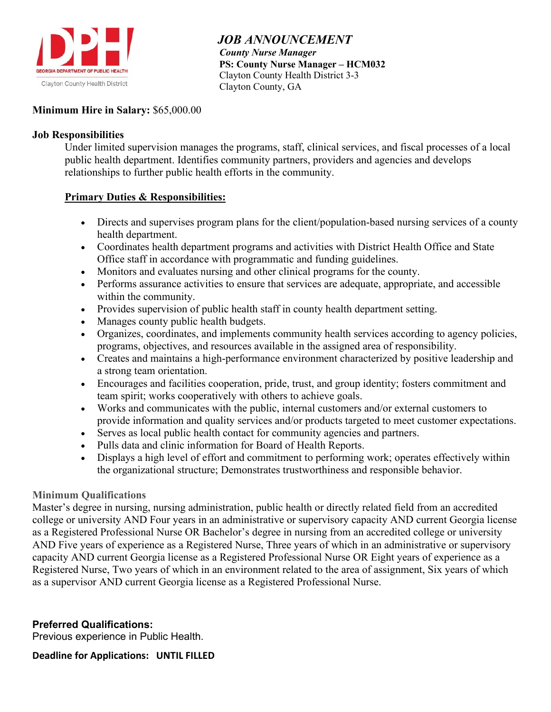

 *JOB ANNOUNCEMENT County Nurse Manager*  **PS: County Nurse Manager – HCM032** Clayton County Health District 3-3 Clayton County, GA

## **Minimum Hire in Salary:** \$65,000.00

## **Job Responsibilities**

Under limited supervision manages the programs, staff, clinical services, and fiscal processes of a local public health department. Identifies community partners, providers and agencies and develops relationships to further public health efforts in the community.

## **Primary Duties & Responsibilities:**

- Directs and supervises program plans for the client/population-based nursing services of a county health department.
- Coordinates health department programs and activities with District Health Office and State Office staff in accordance with programmatic and funding guidelines.
- Monitors and evaluates nursing and other clinical programs for the county.
- Performs assurance activities to ensure that services are adequate, appropriate, and accessible within the community.
- Provides supervision of public health staff in county health department setting.
- Manages county public health budgets.
- Organizes, coordinates, and implements community health services according to agency policies, programs, objectives, and resources available in the assigned area of responsibility.
- Creates and maintains a high-performance environment characterized by positive leadership and a strong team orientation.
- Encourages and facilities cooperation, pride, trust, and group identity; fosters commitment and team spirit; works cooperatively with others to achieve goals.
- Works and communicates with the public, internal customers and/or external customers to provide information and quality services and/or products targeted to meet customer expectations.
- Serves as local public health contact for community agencies and partners.
- Pulls data and clinic information for Board of Health Reports.
- Displays a high level of effort and commitment to performing work; operates effectively within the organizational structure; Demonstrates trustworthiness and responsible behavior.

# **Minimum Qualifications**

Master's degree in nursing, nursing administration, public health or directly related field from an accredited college or university AND Four years in an administrative or supervisory capacity AND current Georgia license as a Registered Professional Nurse OR Bachelor's degree in nursing from an accredited college or university AND Five years of experience as a Registered Nurse, Three years of which in an administrative or supervisory capacity AND current Georgia license as a Registered Professional Nurse OR Eight years of experience as a Registered Nurse, Two years of which in an environment related to the area of assignment, Six years of which as a supervisor AND current Georgia license as a Registered Professional Nurse.

# **Preferred Qualifications:**

Previous experience in Public Health.

**Deadline for Applications: UNTIL FILLED**